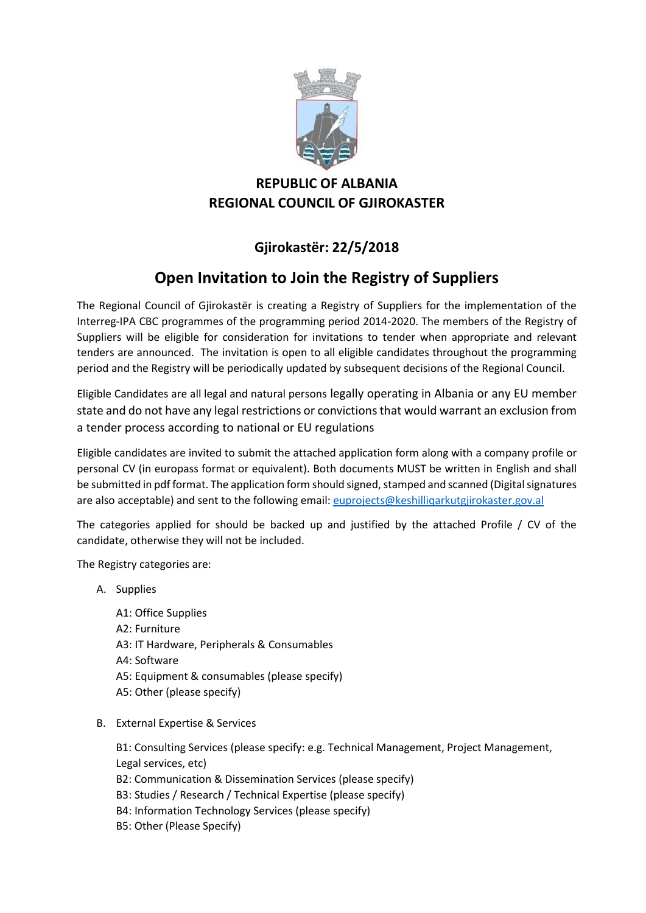

## **REPUBLIC OF ALBANIA REGIONAL COUNCIL OF GJIROKASTER**

## **Gjirokastër: 22/5/2018**

## **Open Invitation to Join the Registry of Suppliers**

The Regional Council of Gjirokastër is creating a Registry of Suppliers for the implementation of the Interreg-IPA CBC programmes of the programming period 2014-2020. The members of the Registry of Suppliers will be eligible for consideration for invitations to tender when appropriate and relevant tenders are announced. The invitation is open to all eligible candidates throughout the programming period and the Registry will be periodically updated by subsequent decisions of the Regional Council.

Eligible Candidates are all legal and natural persons legally operating in Albania or any EU member state and do not have any legal restrictions or convictions that would warrant an exclusion from a tender process according to national or EU regulations

Eligible candidates are invited to submit the attached application form along with a company profile or personal CV (in europass format or equivalent). Both documents MUST be written in English and shall be submitted in pdf format. The application form should signed, stamped and scanned (Digital signatures are also acceptable) and sent to the following email: [euprojects@keshilliqarkutgjirokaster.gov.al](mailto:euprojects@keshilliqarkutgjirokaster.gov.al)

The categories applied for should be backed up and justified by the attached Profile / CV of the candidate, otherwise they will not be included.

The Registry categories are:

- A. Supplies
	- A1: Office Supplies A2: Furniture A3: IT Hardware, Peripherals & Consumables A4: Software A5: Equipment & consumables (please specify) A5: Other (please specify)
- B. External Expertise & Services

B1: Consulting Services (please specify: e.g. Technical Management, Project Management, Legal services, etc)

- B2: Communication & Dissemination Services (please specify)
- B3: Studies / Research / Technical Expertise (please specify)
- B4: Information Technology Services (please specify)
- B5: Other (Please Specify)